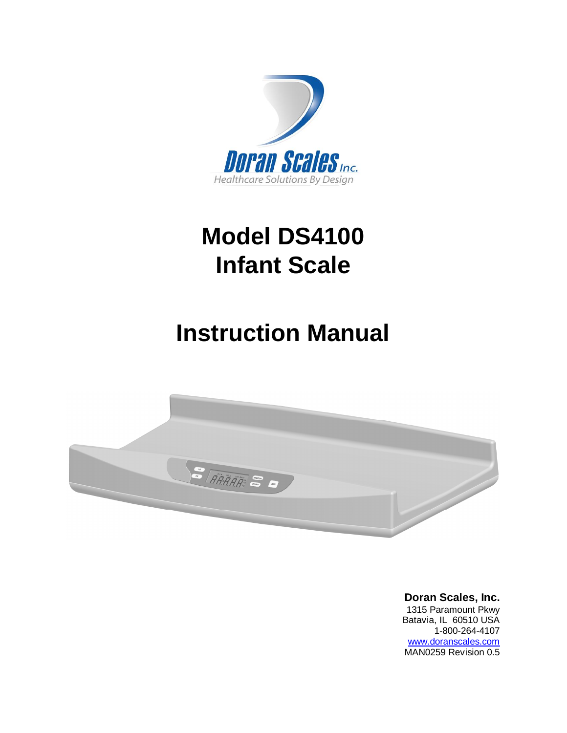

# **Model DS4100 Infant Scale**

# **Instruction Manual**



**Doran Scales, Inc.** 1315 Paramount Pkwy Batavia, IL 60510 USA 1-800-264-4107 [www.doranscales.com](http://www.doranscales.com) MAN0259 Revision 0.5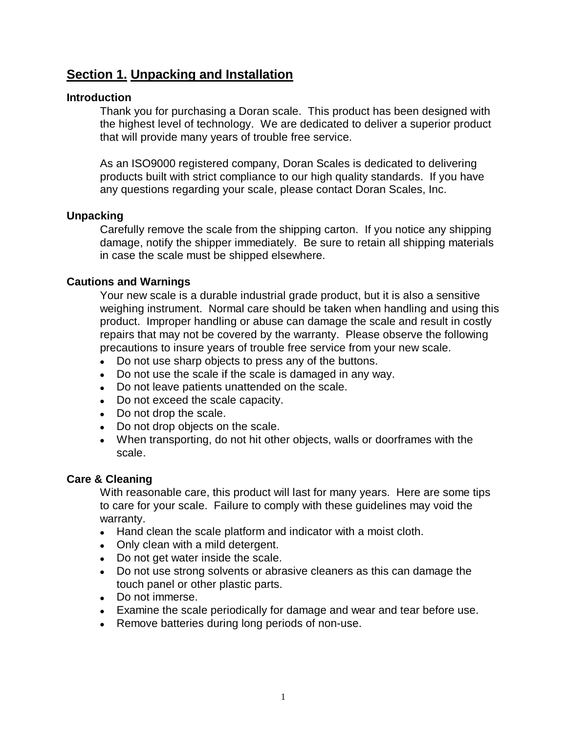# **Section 1. Unpacking and Installation**

# **Introduction**

Thank you for purchasing a Doran scale. This product has been designed with the highest level of technology. We are dedicated to deliver a superior product that will provide many years of trouble free service.

As an ISO9000 registered company, Doran Scales is dedicated to delivering products built with strict compliance to our high quality standards. If you have any questions regarding your scale, please contact Doran Scales, Inc.

### **Unpacking**

Carefully remove the scale from the shipping carton. If you notice any shipping damage, notify the shipper immediately. Be sure to retain all shipping materials in case the scale must be shipped elsewhere.

# **Cautions and Warnings**

Your new scale is a durable industrial grade product, but it is also a sensitive weighing instrument. Normal care should be taken when handling and using this product. Improper handling or abuse can damage the scale and result in costly repairs that may not be covered by the warranty. Please observe the following precautions to insure years of trouble free service from your new scale.

- Do not use sharp objects to press any of the buttons.
- Do not use the scale if the scale is damaged in any way.
- Do not leave patients unattended on the scale.
- Do not exceed the scale capacity.
- Do not drop the scale.
- Do not drop objects on the scale.
- When transporting, do not hit other objects, walls or doorframes with the scale.

# **Care & Cleaning**

With reasonable care, this product will last for many years. Here are some tips to care for your scale. Failure to comply with these guidelines may void the warranty.

- Hand clean the scale platform and indicator with a moist cloth.
- Only clean with a mild detergent.
- Do not get water inside the scale.
- Do not use strong solvents or abrasive cleaners as this can damage the touch panel or other plastic parts.
- Do not immerse.
- Examine the scale periodically for damage and wear and tear before use.
- Remove batteries during long periods of non-use.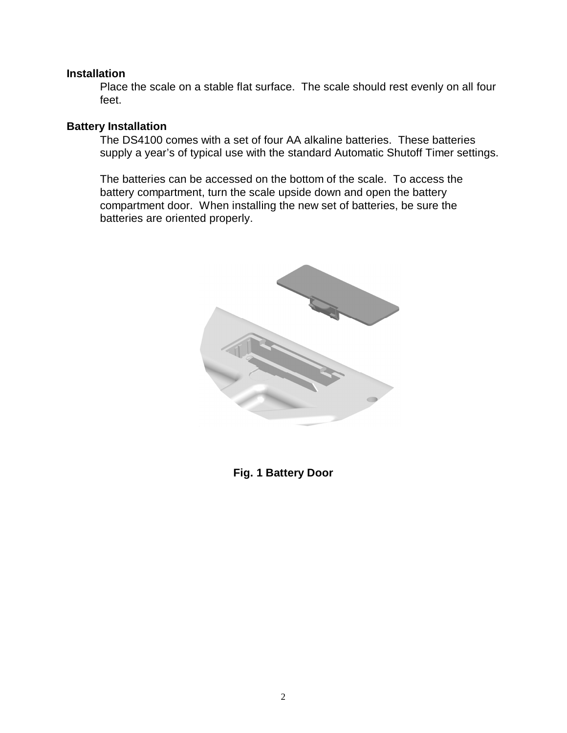### **Installation**

Place the scale on a stable flat surface. The scale should rest evenly on all four feet.

# **Battery Installation**

The DS4100 comes with a set of four AA alkaline batteries. These batteries supply a year's of typical use with the standard Automatic Shutoff Timer settings.

The batteries can be accessed on the bottom of the scale. To access the battery compartment, turn the scale upside down and open the battery compartment door. When installing the new set of batteries, be sure the batteries are oriented properly.



**Fig. 1 Battery Door**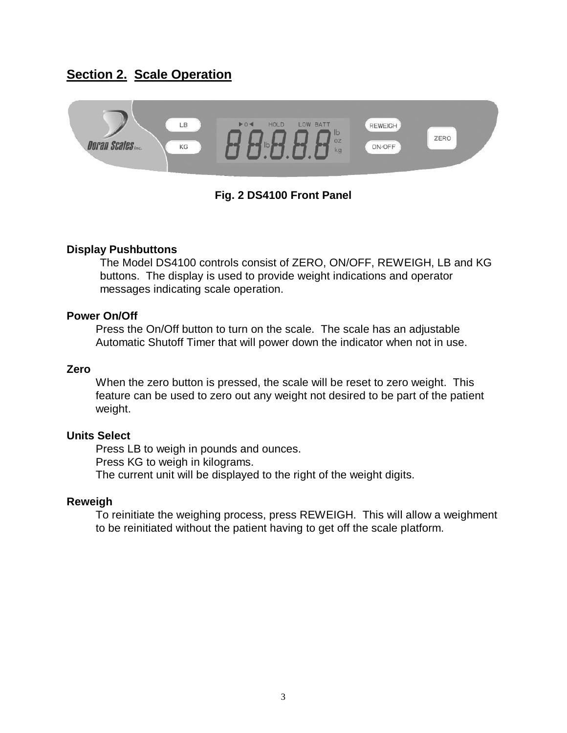# **Section 2. Scale Operation**



# **Fig. 2 DS4100 Front Panel**

### **Display Pushbuttons**

The Model DS4100 controls consist of ZERO, ON/OFF, REWEIGH, LB and KG buttons. The display is used to provide weight indications and operator messages indicating scale operation.

#### **Power On/Off**

Press the On/Off button to turn on the scale. The scale has an adjustable Automatic Shutoff Timer that will power down the indicator when not in use.

#### **Zero**

When the zero button is pressed, the scale will be reset to zero weight. This feature can be used to zero out any weight not desired to be part of the patient weight.

#### **Units Select**

Press LB to weigh in pounds and ounces. Press KG to weigh in kilograms. The current unit will be displayed to the right of the weight digits.

#### **Reweigh**

To reinitiate the weighing process, press REWEIGH. This will allow a weighment to be reinitiated without the patient having to get off the scale platform.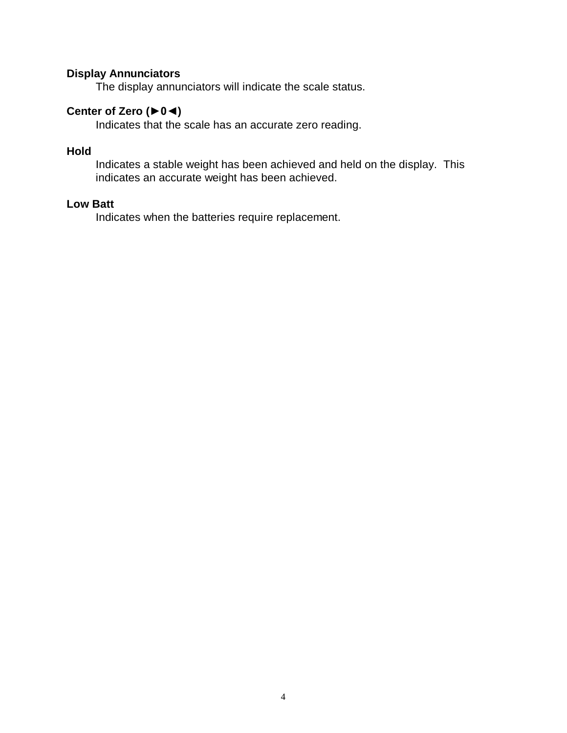## **Display Annunciators**

The display annunciators will indicate the scale status.

# Center of Zero (**▶**0◀)

Indicates that the scale has an accurate zero reading.

# **Hold**

Indicates a stable weight has been achieved and held on the display. This indicates an accurate weight has been achieved.

## **Low Batt**

Indicates when the batteries require replacement.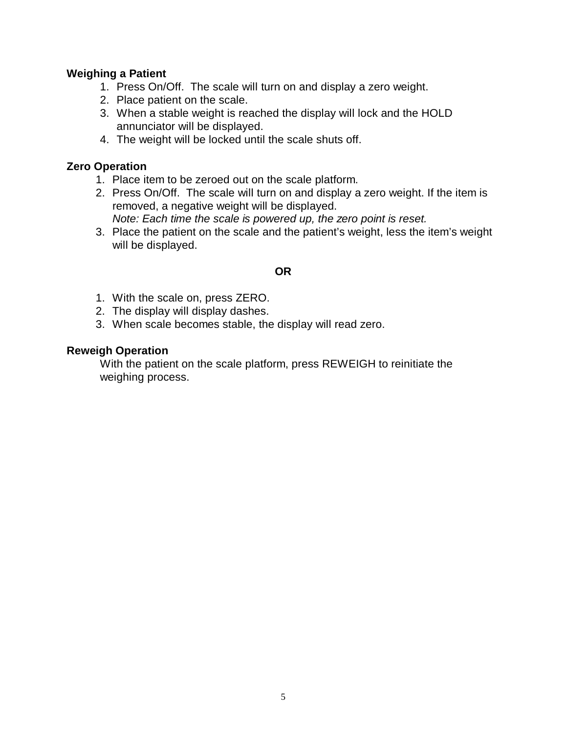# **Weighing a Patient**

- 1. Press On/Off. The scale will turn on and display a zero weight.
- 2. Place patient on the scale.
- 3. When a stable weight is reached the display will lock and the HOLD annunciator will be displayed.
- 4. The weight will be locked until the scale shuts off.

# **Zero Operation**

- 1. Place item to be zeroed out on the scale platform.
- 2. Press On/Off. The scale will turn on and display a zero weight. If the item is removed, a negative weight will be displayed. *Note: Each time the scale is powered up, the zero point is reset.*
- 3. Place the patient on the scale and the patient's weight, less the item's weight will be displayed.

# **OR**

- 1. With the scale on, press ZERO.
- 2. The display will display dashes.
- 3. When scale becomes stable, the display will read zero.

# **Reweigh Operation**

With the patient on the scale platform, press REWEIGH to reinitiate the weighing process.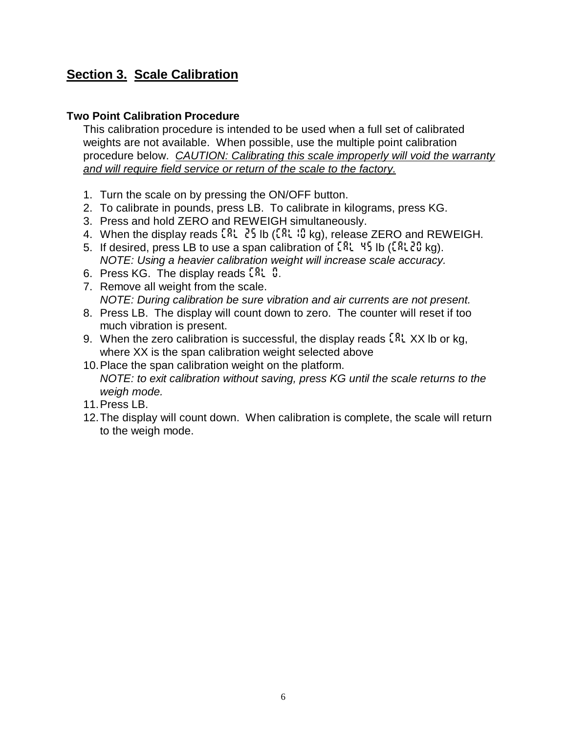# **Section 3. Scale Calibration**

# **Two Point Calibration Procedure**

This calibration procedure is intended to be used when a full set of calibrated weights are not available. When possible, use the multiple point calibration procedure below. *CAUTION: Calibrating this scale improperly will void the warranty and will require field service or return of the scale to the factory.*

- 1. Turn the scale on by pressing the ON/OFF button.
- 2. To calibrate in pounds, press LB. To calibrate in kilograms, press KG.
- 3. Press and hold ZERO and REWEIGH simultaneously.
- 4. When the display reads *Cal 25* lb (*CAL10* kg), release ZERO and REWEIGH.
- 5. If desired, press LB to use a span calibration of *Cal 45* lb (*CAL20* kg). *NOTE: Using a heavier calibration weight will increase scale accuracy.*
- 6. Press KG. The display reads *Cal 0.*
- 7. Remove all weight from the scale. *NOTE: During calibration be sure vibration and air currents are not present.*
- 8. Press LB. The display will count down to zero. The counter will reset if too much vibration is present.
- 9. When the zero calibration is successful, the display reads *CAL* XX lb or kg, where XX is the span calibration weight selected above
- 10. Place the span calibration weight on the platform. *NOTE: to exit calibration without saving, press KG until the scale returns to the weigh mode.*
- 11. Press LB.
- 12. The display will count down. When calibration is complete, the scale will return to the weigh mode.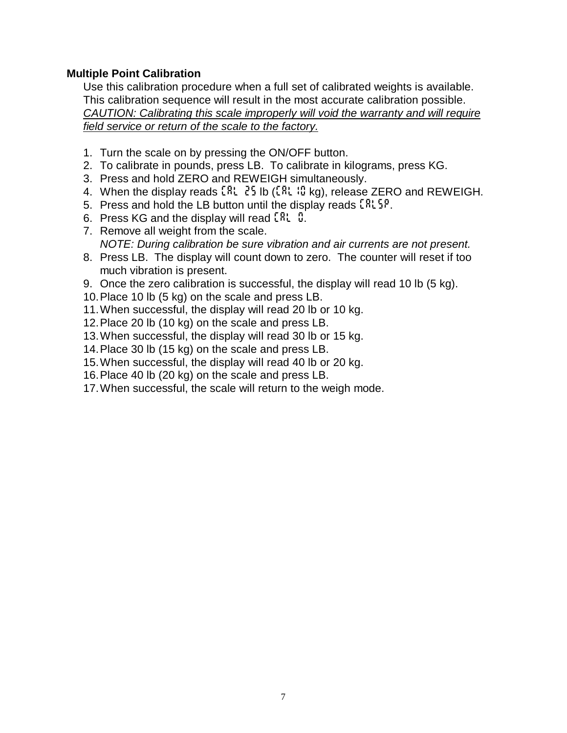# **Multiple Point Calibration**

Use this calibration procedure when a full set of calibrated weights is available. This calibration sequence will result in the most accurate calibration possible. *CAUTION: Calibrating this scale improperly will void the warranty and will require field service or return of the scale to the factory.*

- 1. Turn the scale on by pressing the ON/OFF button.
- 2. To calibrate in pounds, press LB. To calibrate in kilograms, press KG.
- 3. Press and hold ZERO and REWEIGH simultaneously.
- 4. When the display reads *Cal 25* lb (*CAL10* kg), release ZERO and REWEIGH.
- 5. Press and hold the LB button until the display reads *CALSP*.
- 6. Press KG and the display will read *CAL 0*.
- 7. Remove all weight from the scale. *NOTE: During calibration be sure vibration and air currents are not present.*
- 8. Press LB. The display will count down to zero. The counter will reset if too much vibration is present.
- 9. Once the zero calibration is successful, the display will read 10 lb (5 kg).
- 10. Place 10 lb (5 kg) on the scale and press LB.
- 11. When successful, the display will read 20 lb or 10 kg.
- 12. Place 20 lb (10 kg) on the scale and press LB.
- 13. When successful, the display will read 30 lb or 15 kg.
- 14. Place 30 lb (15 kg) on the scale and press LB.
- 15. When successful, the display will read 40 lb or 20 kg.
- 16. Place 40 lb (20 kg) on the scale and press LB.
- 17. When successful, the scale will return to the weigh mode.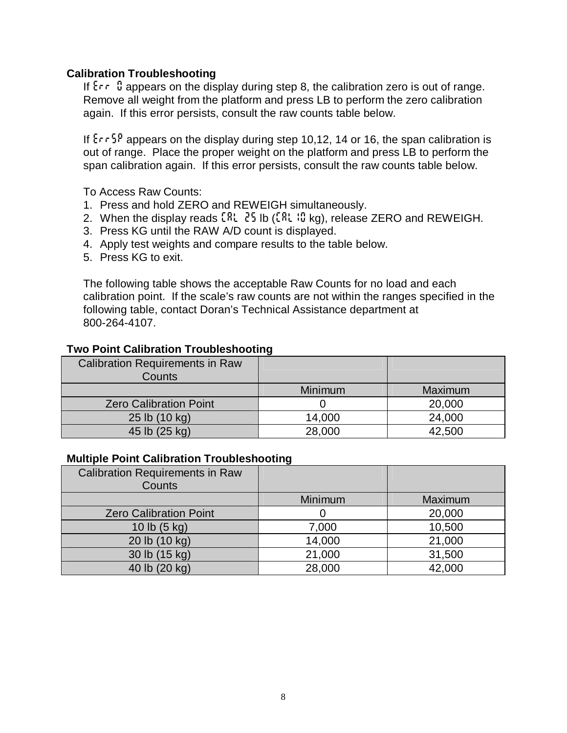# **Calibration Troubleshooting**

If  $\epsilon$  <sup>0</sup> appears on the display during step 8, the calibration zero is out of range. Remove all weight from the platform and press LB to perform the zero calibration again. If this error persists, consult the raw counts table below.

If *ErrSp* appears on the display during step 10,12, 14 or 16, the span calibration is out of range. Place the proper weight on the platform and press LB to perform the span calibration again. If this error persists, consult the raw counts table below.

To Access Raw Counts:

- 1. Press and hold ZERO and REWEIGH simultaneously.
- 2. When the display reads  $\mathbb{R}^n$ ,  $\mathbb{R}^n$  is  $(\mathbb{R}^n, \mathbb{R}^n)$ , release ZERO and REWEIGH.
- 3. Press KG until the RAW A/D count is displayed.
- 4. Apply test weights and compare results to the table below.
- 5. Press KG to exit.

The following table shows the acceptable Raw Counts for no load and each calibration point. If the scale's raw counts are not within the ranges specified in the following table, contact Doran's Technical Assistance department at 800-264-4107.

### **Two Point Calibration Troubleshooting**

| <b>Calibration Requirements in Raw</b><br>Counts |         |         |
|--------------------------------------------------|---------|---------|
|                                                  | Minimum | Maximum |
| <b>Zero Calibration Point</b>                    |         | 20,000  |
| 25 lb (10 kg)                                    | 14,000  | 24,000  |
| 45 lb (25 kg)                                    | 28,000  | 42,500  |

#### **Multiple Point Calibration Troubleshooting**

| <b>Calibration Requirements in Raw</b> |         |         |
|----------------------------------------|---------|---------|
| Counts                                 |         |         |
|                                        | Minimum | Maximum |
| <b>Zero Calibration Point</b>          |         | 20,000  |
| 10 lb $(5 \text{ kg})$                 | 7,000   | 10,500  |
| 20 lb (10 kg)                          | 14,000  | 21,000  |
| 30 lb (15 kg)                          | 21,000  | 31,500  |
| 40 lb (20 kg)                          | 28,000  | 42,000  |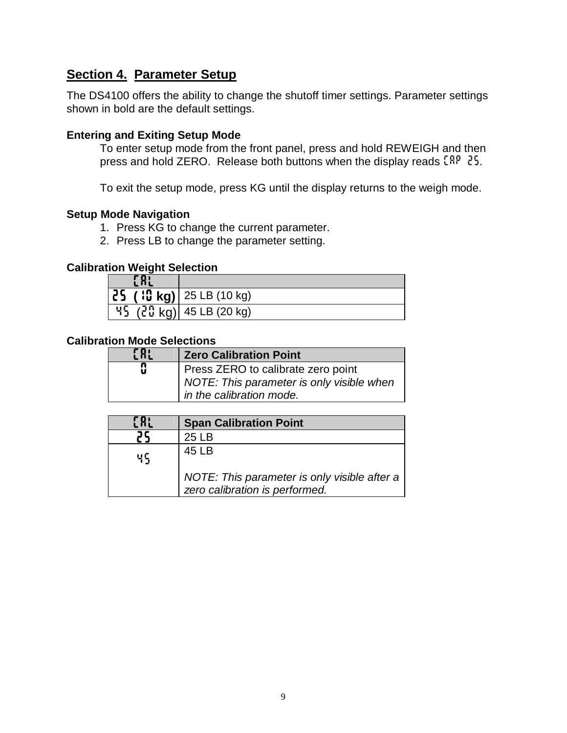# **Section 4. Parameter Setup**

The DS4100 offers the ability to change the shutoff timer settings. Parameter settings shown in bold are the default settings.

# **Entering and Exiting Setup Mode**

To enter setup mode from the front panel, press and hold REWEIGH and then press and hold ZERO. Release both buttons when the display reads *CAp 25*.

To exit the setup mode, press KG until the display returns to the weigh mode.

# **Setup Mode Navigation**

- 1. Press KG to change the current parameter.
- 2. Press LB to change the parameter setting.

## **Calibration Weight Selection**

| $ \overline{25}$ ( $ $ <b>C</b> kg) $ 25$ LB (10 kg) |
|------------------------------------------------------|
| $45$ (20 kg) 45 LB (20 kg)                           |

# **Calibration Mode Selections**

| E RL | <b>Zero Calibration Point</b>             |
|------|-------------------------------------------|
| Q    | Press ZERO to calibrate zero point        |
|      | NOTE: This parameter is only visible when |
|      | In the calibration mode.                  |

|    | <b>Span Calibration Point</b>                                                  |
|----|--------------------------------------------------------------------------------|
|    | 25 I B                                                                         |
| ЧĘ | 45 LB                                                                          |
|    | NOTE: This parameter is only visible after a<br>zero calibration is performed. |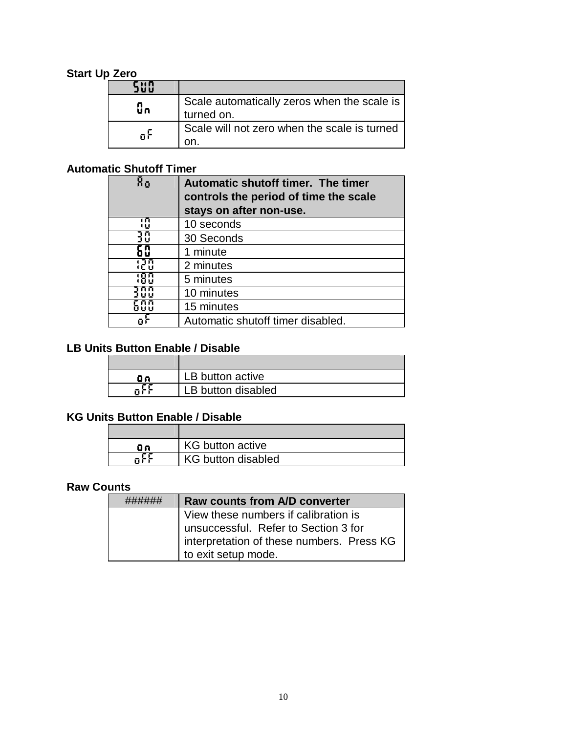# **Start Up Zero**

| นิก | Scale automatically zeros when the scale is<br>turned on. |
|-----|-----------------------------------------------------------|
| пF  | Scale will not zero when the scale is turned              |

# **Automatic Shutoff Timer**

| Χo      | Automatic shutoff timer. The timer<br>controls the period of time the scale<br>stays on after non-use. |
|---------|--------------------------------------------------------------------------------------------------------|
| កោ<br>Ū | 10 seconds                                                                                             |
| 10      | 30 Seconds                                                                                             |
|         | 1 minute                                                                                               |
|         | 2 minutes                                                                                              |
|         | 5 minutes                                                                                              |
|         | 10 minutes                                                                                             |
|         | 15 minutes                                                                                             |
|         | Automatic shutoff timer disabled.                                                                      |

# **LB Units Button Enable / Disable**

| ΩO. | LB button active   |
|-----|--------------------|
|     | LB button disabled |

# **KG Units Button Enable / Disable**

| 9о. | <b>KG</b> button active   |
|-----|---------------------------|
|     | <b>KG button disabled</b> |

#### **Raw Counts**

| <b>Raw counts from A/D converter</b>                                              |
|-----------------------------------------------------------------------------------|
| View these numbers if calibration is                                              |
| unsuccessful. Refer to Section 3 for<br>interpretation of these numbers. Press KG |
|                                                                                   |
| to exit setup mode.                                                               |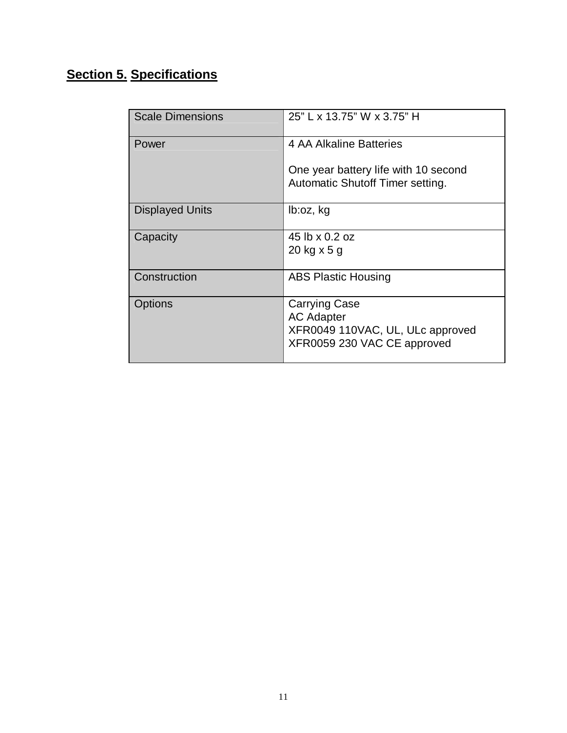# **Section 5. Specifications**

| <b>Scale Dimensions</b> | 25" L x 13.75" W x 3.75" H                                                                                   |
|-------------------------|--------------------------------------------------------------------------------------------------------------|
| Power                   | 4 AA Alkaline Batteries                                                                                      |
|                         | One year battery life with 10 second<br>Automatic Shutoff Timer setting.                                     |
| <b>Displayed Units</b>  | lb:oz, kg                                                                                                    |
| Capacity                | 45 lb x 0.2 oz                                                                                               |
|                         | 20 kg x 5 g                                                                                                  |
| Construction            | <b>ABS Plastic Housing</b>                                                                                   |
| <b>Options</b>          | <b>Carrying Case</b><br><b>AC Adapter</b><br>XFR0049 110VAC, UL, ULc approved<br>XFR0059 230 VAC CE approved |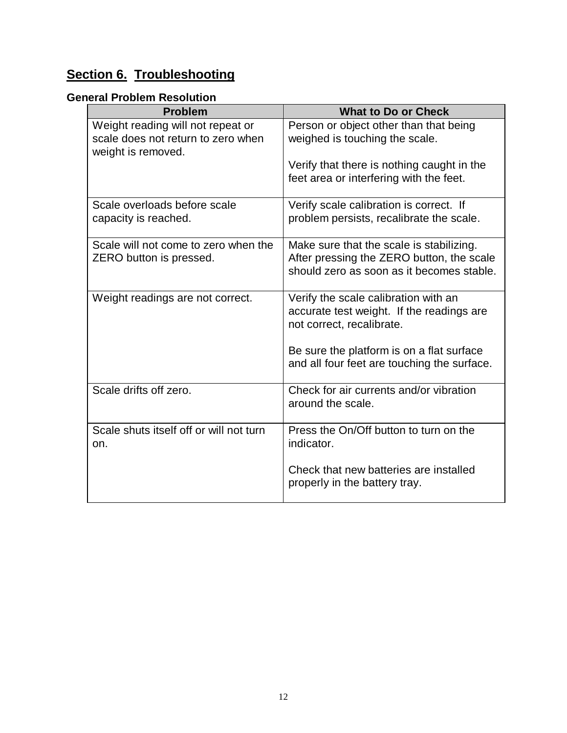# **Section 6. Troubleshooting**

# **General Problem Resolution**

| <b>Problem</b>                                                                                | <b>What to Do or Check</b>                                                                                                         |
|-----------------------------------------------------------------------------------------------|------------------------------------------------------------------------------------------------------------------------------------|
| Weight reading will not repeat or<br>scale does not return to zero when<br>weight is removed. | Person or object other than that being<br>weighed is touching the scale.                                                           |
|                                                                                               | Verify that there is nothing caught in the<br>feet area or interfering with the feet.                                              |
| Scale overloads before scale<br>capacity is reached.                                          | Verify scale calibration is correct. If<br>problem persists, recalibrate the scale.                                                |
| Scale will not come to zero when the<br>ZERO button is pressed.                               | Make sure that the scale is stabilizing.<br>After pressing the ZERO button, the scale<br>should zero as soon as it becomes stable. |
| Weight readings are not correct.                                                              | Verify the scale calibration with an<br>accurate test weight. If the readings are<br>not correct, recalibrate.                     |
|                                                                                               | Be sure the platform is on a flat surface<br>and all four feet are touching the surface.                                           |
| Scale drifts off zero.                                                                        | Check for air currents and/or vibration<br>around the scale.                                                                       |
| Scale shuts itself off or will not turn<br>on.                                                | Press the On/Off button to turn on the<br>indicator.                                                                               |
|                                                                                               | Check that new batteries are installed<br>properly in the battery tray.                                                            |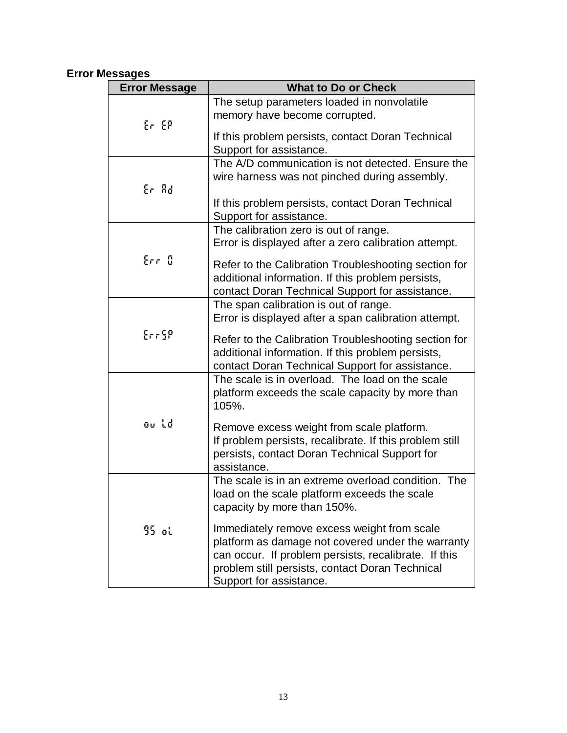# **Error Messages**

| <b>Error Message</b> | <b>What to Do or Check</b>                                                                                                                                                                                                             |
|----------------------|----------------------------------------------------------------------------------------------------------------------------------------------------------------------------------------------------------------------------------------|
| Er EP                | The setup parameters loaded in nonvolatile<br>memory have become corrupted.                                                                                                                                                            |
|                      | If this problem persists, contact Doran Technical<br>Support for assistance.                                                                                                                                                           |
| Er Ad                | The A/D communication is not detected. Ensure the<br>wire harness was not pinched during assembly.                                                                                                                                     |
|                      | If this problem persists, contact Doran Technical<br>Support for assistance.                                                                                                                                                           |
|                      | The calibration zero is out of range.<br>Error is displayed after a zero calibration attempt.                                                                                                                                          |
| Err D                | Refer to the Calibration Troubleshooting section for<br>additional information. If this problem persists,<br>contact Doran Technical Support for assistance.                                                                           |
|                      | The span calibration is out of range.<br>Error is displayed after a span calibration attempt.                                                                                                                                          |
| Err5P                | Refer to the Calibration Troubleshooting section for<br>additional information. If this problem persists,<br>contact Doran Technical Support for assistance.                                                                           |
|                      | The scale is in overload. The load on the scale<br>platform exceeds the scale capacity by more than<br>105%.                                                                                                                           |
| ou id                | Remove excess weight from scale platform.<br>If problem persists, recalibrate. If this problem still<br>persists, contact Doran Technical Support for<br>assistance.                                                                   |
|                      | The scale is in an extreme overload condition. The<br>load on the scale platform exceeds the scale<br>capacity by more than 150%.                                                                                                      |
| 95 օկ                | Immediately remove excess weight from scale<br>platform as damage not covered under the warranty<br>can occur. If problem persists, recalibrate. If this<br>problem still persists, contact Doran Technical<br>Support for assistance. |